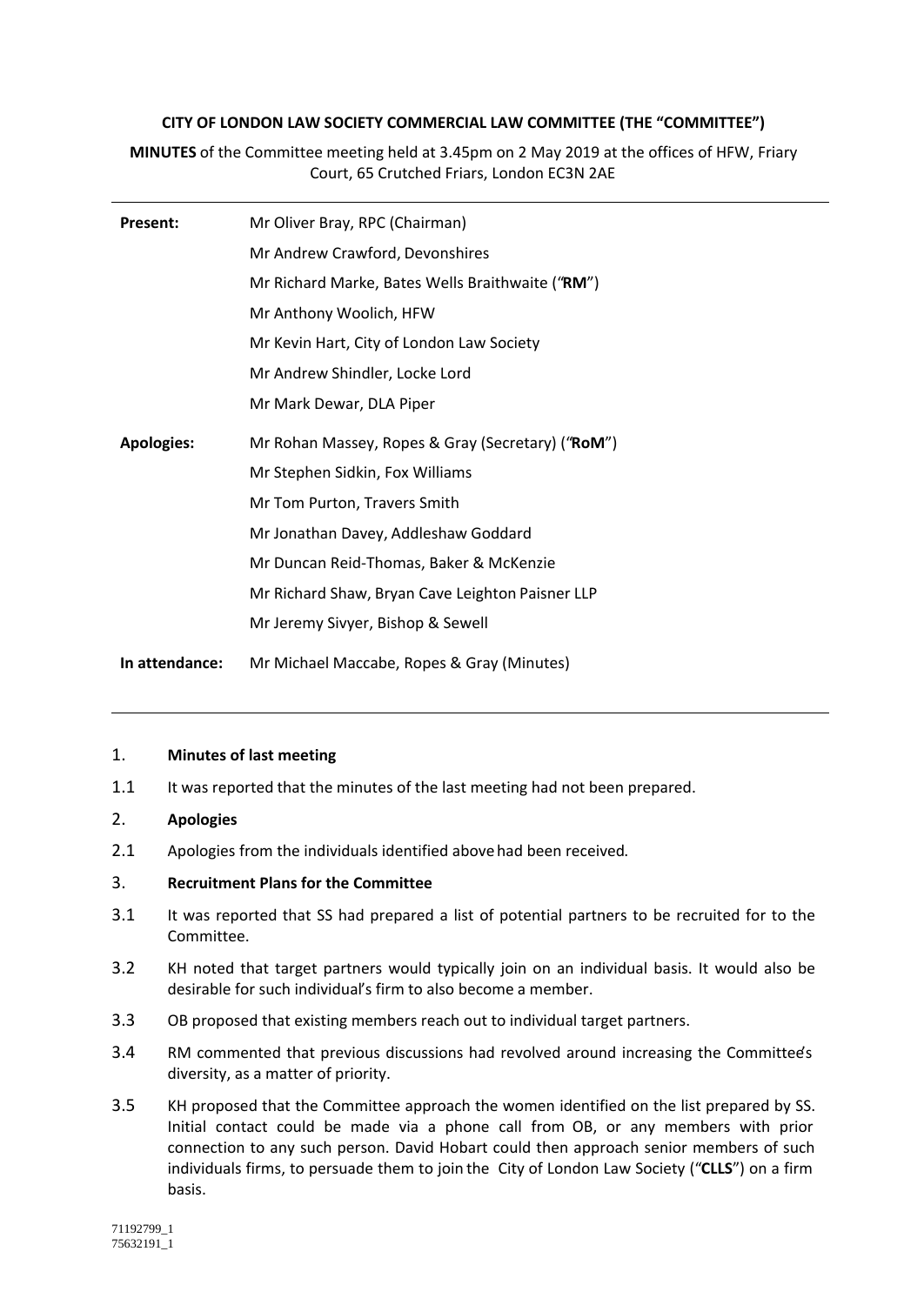## **CITY OF LONDON LAW SOCIETY COMMERCIAL LAW COMMITTEE (THE "COMMITTEE")**

**MINUTES** of the Committee meeting held at 3.45pm on 2 May 2019 at the offices of HFW, Friary Court, 65 Crutched Friars, London EC3N 2AE

| Present:          | Mr Oliver Bray, RPC (Chairman)                    |
|-------------------|---------------------------------------------------|
|                   | Mr Andrew Crawford, Devonshires                   |
|                   | Mr Richard Marke, Bates Wells Braithwaite ("RM")  |
|                   | Mr Anthony Woolich, HFW                           |
|                   | Mr Kevin Hart, City of London Law Society         |
|                   | Mr Andrew Shindler, Locke Lord                    |
|                   | Mr Mark Dewar, DLA Piper                          |
| <b>Apologies:</b> | Mr Rohan Massey, Ropes & Gray (Secretary) ("RoM") |
|                   | Mr Stephen Sidkin, Fox Williams                   |
|                   | Mr Tom Purton, Travers Smith                      |
|                   | Mr Jonathan Davey, Addleshaw Goddard              |
|                   | Mr Duncan Reid-Thomas, Baker & McKenzie           |
|                   | Mr Richard Shaw, Bryan Cave Leighton Paisner LLP  |
|                   | Mr Jeremy Sivyer, Bishop & Sewell                 |
| In attendance:    | Mr Michael Maccabe, Ropes & Gray (Minutes)        |

## 1. **Minutes of last meeting**

1.1 It was reported that the minutes of the last meeting had not been prepared.

# 2. **Apologies**

2.1 Apologies from the individuals identified above had been received.

## 3. **Recruitment Plans for the Committee**

- 3.1 It was reported that SS had prepared a list of potential partners to be recruited for to the Committee.
- 3.2 KH noted that target partners would typically join on an individual basis. It would also be desirable for such individual's firm to also become a member.
- 3.3 OB proposed that existing members reach out to individual target partners.
- 3.4 RM commented that previous discussions had revolved around increasing the Committee's diversity, as a matter of priority.
- 3.5 KH proposed that the Committee approach the women identified on the list prepared by SS. Initial contact could be made via a phone call from OB, or any members with prior connection to any such person. David Hobart could then approach senior members of such individuals firms, to persuade them to join the City of London Law Society ("**CLLS**") on a firm basis.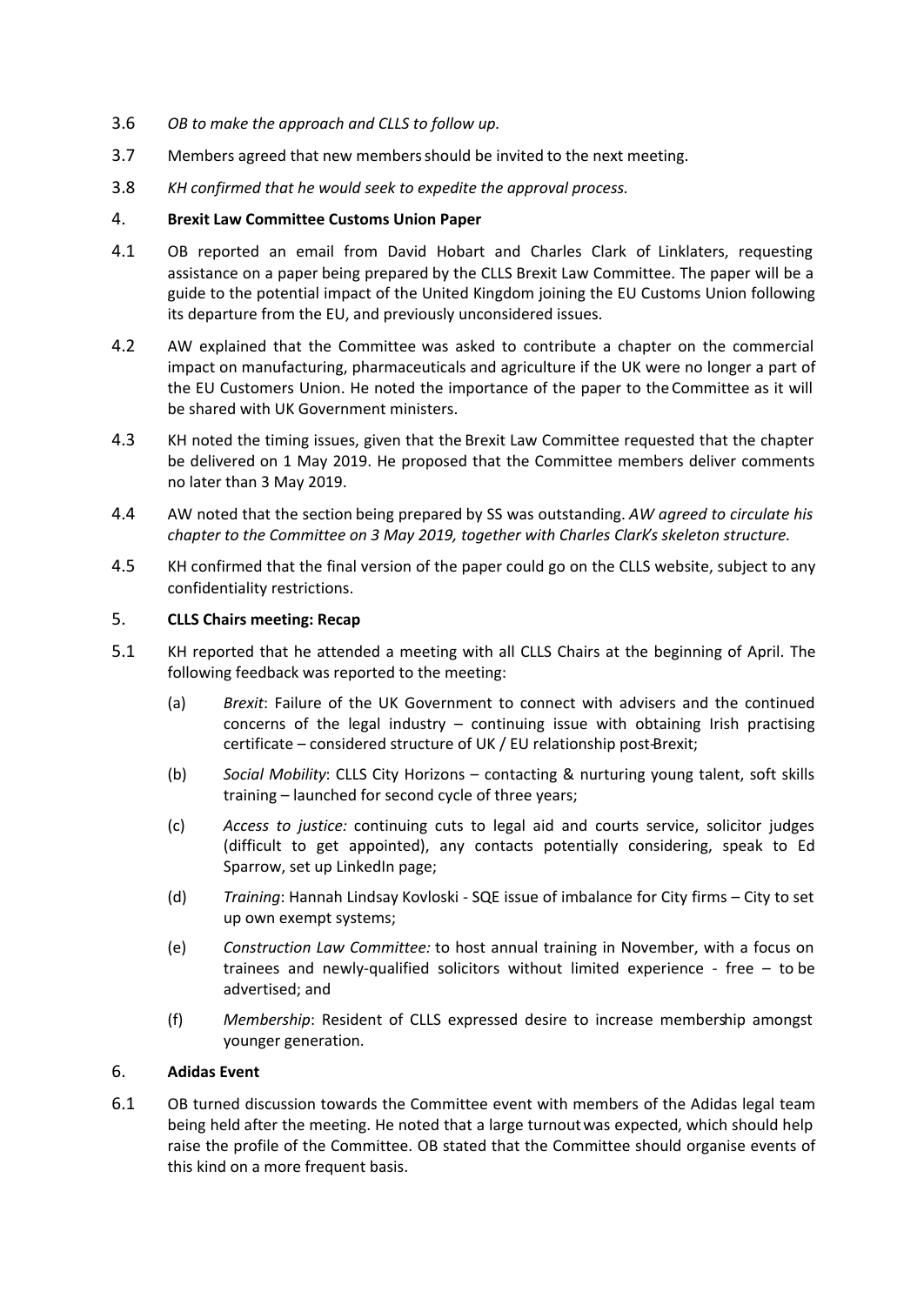- 3.6 *OB to make the approach and CLLS to follow up.*
- 3.7 Members agreed that new members should be invited to the next meeting.
- 3.8 *KH confirmed that he would seek to expedite the approval process.*

#### 4. **Brexit Law Committee Customs Union Paper**

- 4.1 OB reported an email from David Hobart and Charles Clark of Linklaters, requesting assistance on a paper being prepared by the CLLS Brexit Law Committee. The paper will be a guide to the potential impact of the United Kingdom joining the EU Customs Union following its departure from the EU, and previously unconsidered issues.
- 4.2 AW explained that the Committee was asked to contribute a chapter on the commercial impact on manufacturing, pharmaceuticals and agriculture if the UK were no longer a part of the EU Customers Union. He noted the importance of the paper to the Committee as it will be shared with UK Government ministers.
- 4.3 KH noted the timing issues, given that the Brexit Law Committee requested that the chapter be delivered on 1 May 2019. He proposed that the Committee members deliver comments no later than 3 May 2019.
- 4.4 AW noted that the section being prepared by SS was outstanding. *AW agreed to circulate his chapter to the Committee on 3 May 2019, together with Charles Clark's skeleton structure.*
- 4.5 KH confirmed that the final version of the paper could go on the CLLS website, subject to any confidentiality restrictions.

## 5. **CLLS Chairs meeting: Recap**

- 5.1 KH reported that he attended a meeting with all CLLS Chairs at the beginning of April. The following feedback was reported to the meeting:
	- (a) *Brexit*: Failure of the UK Government to connect with advisers and the continued concerns of the legal industry – continuing issue with obtaining Irish practising certificate – considered structure of UK / EU relationship post-Brexit;
	- (b) *Social Mobility*: CLLS City Horizons contacting & nurturing young talent, soft skills training – launched for second cycle of three years;
	- (c) *Access to justice:* continuing cuts to legal aid and courts service, solicitor judges (difficult to get appointed), any contacts potentially considering, speak to Ed Sparrow, set up LinkedIn page;
	- (d) *Training*: Hannah Lindsay Kovloski SQE issue of imbalance for City firms City to set up own exempt systems;
	- (e) *Construction Law Committee:* to host annual training in November, with a focus on trainees and newly-qualified solicitors without limited experience - free – to be advertised; and
	- (f) *Membership*: Resident of CLLS expressed desire to increase membership amongst younger generation.

# 6. **Adidas Event**

6.1 OB turned discussion towards the Committee event with members of the Adidas legal team being held after the meeting. He noted that a large turnout was expected, which should help raise the profile of the Committee. OB stated that the Committee should organise events of this kind on a more frequent basis.